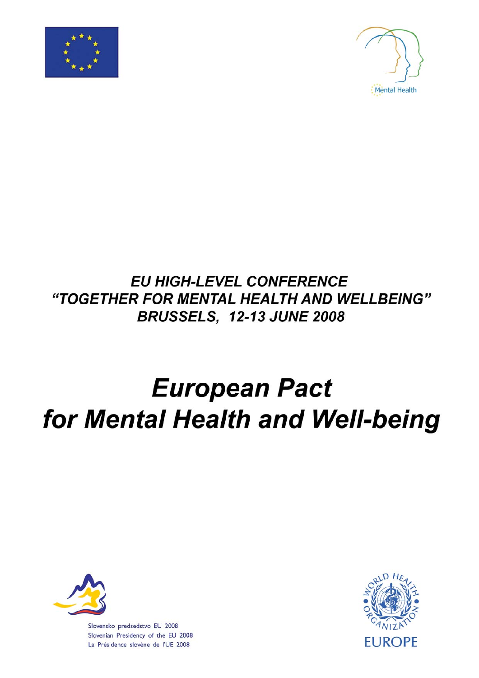



# **EU HIGH-LEVEL CONFERENCE** "TOGETHER FOR MENTAL HEALTH AND WELLBEING" **BRUSSELS, 12-13 JUNE 2008**

# **European Pact** for Mental Health and Well-being



Slovensko predsedstvo EU 2008 Slovenian Presidency of the EU 2008 La Présidence slovène de l'UE 2008

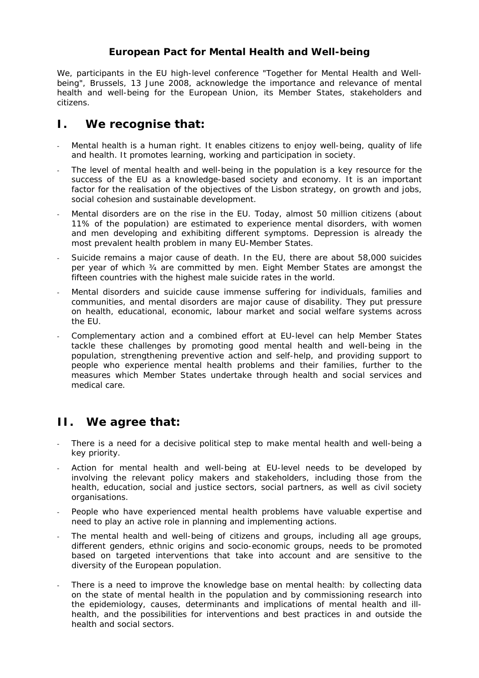#### **European Pact for Mental Health and Well-being**

We, participants in the EU high-level conference "*Together for Mental Health and Wellbeing*", Brussels, 13 June 2008, acknowledge the importance and relevance of mental health and well-being for the European Union, its Member States, stakeholders and citizens.

### **I. We recognise that:**

- Mental health is a human right. It enables citizens to enjoy well-being, quality of life and health. It promotes learning, working and participation in society.
- The level of mental health and well-being in the population is a key resource for the success of the EU as a knowledge-based society and economy. It is an important factor for the realisation of the objectives of the Lisbon strategy, on growth and jobs, social cohesion and sustainable development.
- Mental disorders are on the rise in the EU. Today, almost 50 million citizens (about 11% of the population) are estimated to experience mental disorders, with women and men developing and exhibiting different symptoms. Depression is already the most prevalent health problem in many EU-Member States.
- Suicide remains a major cause of death. In the EU, there are about 58,000 suicides per year of which ¾ are committed by men. Eight Member States are amongst the fifteen countries with the highest male suicide rates in the world.
- Mental disorders and suicide cause immense suffering for individuals, families and communities, and mental disorders are major cause of disability. They put pressure on health, educational, economic, labour market and social welfare systems across the EU.
- Complementary action and a combined effort at EU-level can help Member States tackle these challenges by promoting good mental health and well-being in the population, strengthening preventive action and self-help, and providing support to people who experience mental health problems and their families, further to the measures which Member States undertake through health and social services and medical care.

# **II. We agree that:**

- There is a need for a decisive political step to make mental health and well-being a key priority.
- Action for mental health and well-being at EU-level needs to be developed by involving the relevant policy makers and stakeholders, including those from the health, education, social and justice sectors, social partners, as well as civil society organisations.
- People who have experienced mental health problems have valuable expertise and need to play an active role in planning and implementing actions.
- The mental health and well-being of citizens and groups, including all age groups, different genders, ethnic origins and socio-economic groups, needs to be promoted based on targeted interventions that take into account and are sensitive to the diversity of the European population.
- There is a need to improve the knowledge base on mental health: by collecting data on the state of mental health in the population and by commissioning research into the epidemiology, causes, determinants and implications of mental health and illhealth, and the possibilities for interventions and best practices in and outside the health and social sectors.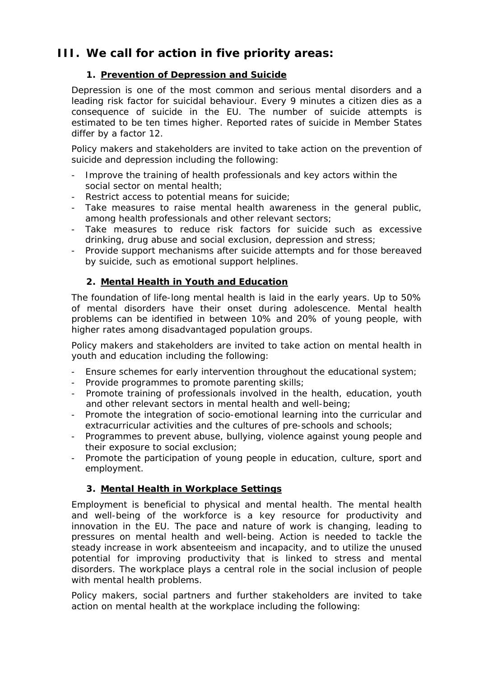# **III. We call for action in five priority areas:**

#### **1. Prevention of Depression and Suicide**

Depression is one of the most common and serious mental disorders and a leading risk factor for suicidal behaviour. Every 9 minutes a citizen dies as a consequence of suicide in the EU. The number of suicide attempts is estimated to be ten times higher. Reported rates of suicide in Member States differ by a factor 12.

Policy makers and stakeholders are invited to take action on the prevention of suicide and depression including the following:

- Improve the training of health professionals and key actors within the social sector on mental health;
- Restrict access to potential means for suicide;
- Take measures to raise mental health awareness in the general public, among health professionals and other relevant sectors;
- Take measures to reduce risk factors for suicide such as excessive drinking, drug abuse and social exclusion, depression and stress;
- Provide support mechanisms after suicide attempts and for those bereaved by suicide, such as emotional support helplines.

#### **2. Mental Health in Youth and Education**

The foundation of life-long mental health is laid in the early years. Up to 50% of mental disorders have their onset during adolescence. Mental health problems can be identified in between 10% and 20% of young people, with higher rates among disadvantaged population groups.

Policy makers and stakeholders are invited to take action on mental health in youth and education including the following:

- Ensure schemes for early intervention throughout the educational system;
- Provide programmes to promote parenting skills;
- Promote training of professionals involved in the health, education, youth and other relevant sectors in mental health and well-being;
- Promote the integration of socio-emotional learning into the curricular and extracurricular activities and the cultures of pre-schools and schools;
- Programmes to prevent abuse, bullying, violence against young people and their exposure to social exclusion;
- Promote the participation of young people in education, culture, sport and employment.

#### **3. Mental Health in Workplace Settings**

Employment is beneficial to physical and mental health. The mental health and well-being of the workforce is a key resource for productivity and innovation in the EU. The pace and nature of work is changing, leading to pressures on mental health and well-being. Action is needed to tackle the steady increase in work absenteeism and incapacity, and to utilize the unused potential for improving productivity that is linked to stress and mental disorders. The workplace plays a central role in the social inclusion of people with mental health problems.

Policy makers, social partners and further stakeholders are invited to take action on mental health at the workplace including the following: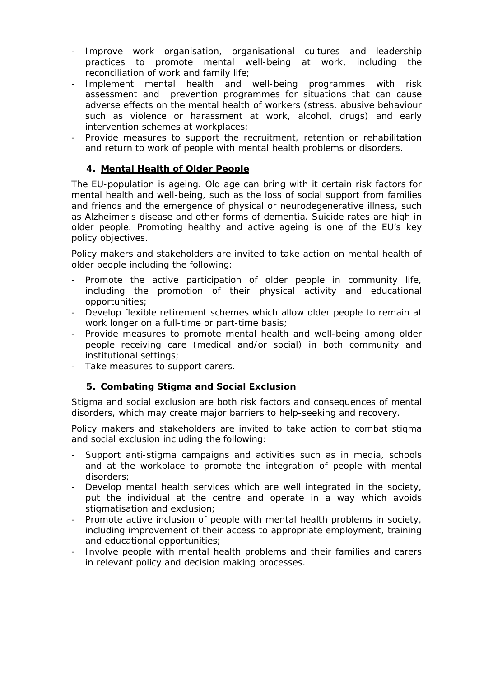- Improve work organisation, organisational cultures and leadership practices to promote mental well-being at work, including the reconciliation of work and family life;
- Implement mental health and well-being programmes with risk assessment and prevention programmes for situations that can cause adverse effects on the mental health of workers (stress, abusive behaviour such as violence or harassment at work, alcohol, drugs) and early intervention schemes at workplaces;
- Provide measures to support the recruitment, retention or rehabilitation and return to work of people with mental health problems or disorders.

#### **4. Mental Health of Older People**

The EU-population is ageing. Old age can bring with it certain risk factors for mental health and well-being, such as the loss of social support from families and friends and the emergence of physical or neurodegenerative illness, such as Alzheimer's disease and other forms of dementia. Suicide rates are high in older people. Promoting healthy and active ageing is one of the EU's key policy objectives.

Policy makers and stakeholders are invited to take action on mental health of older people including the following:

- Promote the active participation of older people in community life, including the promotion of their physical activity and educational opportunities;
- Develop flexible retirement schemes which allow older people to remain at work longer on a full-time or part-time basis;
- Provide measures to promote mental health and well-being among older people receiving care (medical and/or social) in both community and institutional settings;
- Take measures to support carers.

#### **5. Combating Stigma and Social Exclusion**

Stigma and social exclusion are both risk factors and consequences of mental disorders, which may create major barriers to help-seeking and recovery.

Policy makers and stakeholders are invited to take action to combat stigma and social exclusion including the following:

- Support anti-stigma campaigns and activities such as in media, schools and at the workplace to promote the integration of people with mental disorders;
- Develop mental health services which are well integrated in the society, put the individual at the centre and operate in a way which avoids stigmatisation and exclusion;
- Promote active inclusion of people with mental health problems in society, including improvement of their access to appropriate employment, training and educational opportunities;
- Involve people with mental health problems and their families and carers in relevant policy and decision making processes.